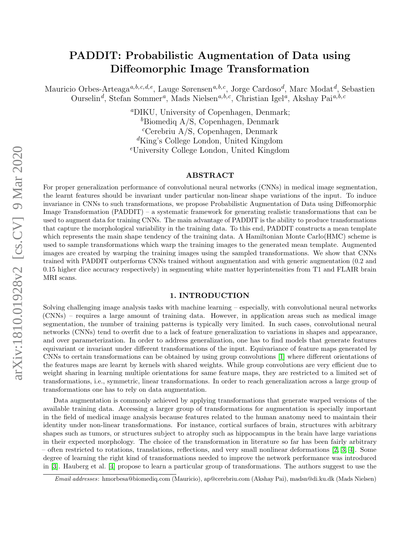# PADDIT: Probabilistic Augmentation of Data using Diffeomorphic Image Transformation

Mauricio Orbes-Arteaga<sup>a,b,c,d,e</sup>, Lauge Sørensen<sup>a,b,c</sup>, Jorge Cardoso<sup>d</sup>, Marc Modat<sup>d</sup>, Sebastien Ourselin<sup>d</sup>, Stefan Sommer<sup>a</sup>, Mads Nielsen<sup>a,b,c</sup>, Christian Igel<sup>a</sup>, Akshay Pai<sup>a,b,c</sup>

> <sup>a</sup>DIKU, University of Copenhagen, Denmark; <sup>b</sup>Biomedig A/S, Copenhagen, Denmark  ${}^c$ Cerebriu A/S, Copenhagen, Denmark  ${}^d$ King's College London, United Kingdom <sup>e</sup>University College London, United Kingdom

## ABSTRACT

For proper generalization performance of convolutional neural networks (CNNs) in medical image segmentation, the learnt features should be invariant under particular non-linear shape variations of the input. To induce invariance in CNNs to such transformations, we propose Probabilistic Augmentation of Data using Diffeomorphic Image Transformation (PADDIT) – a systematic framework for generating realistic transformations that can be used to augment data for training CNNs. The main advantage of PADDIT is the ability to produce transformations that capture the morphological variability in the training data. To this end, PADDIT constructs a mean template which represents the main shape tendency of the training data. A Hamiltonian Monte Carlo(HMC) scheme is used to sample transformations which warp the training images to the generated mean template. Augmented images are created by warping the training images using the sampled transformations. We show that CNNs trained with PADDIT outperforms CNNs trained without augmentation and with generic augmentation (0.2 and 0.15 higher dice accuracy respectively) in segmenting white matter hyperintensities from T1 and FLAIR brain MRI scans.

## 1. INTRODUCTION

Solving challenging image analysis tasks with machine learning – especially, with convolutional neural networks (CNNs) – requires a large amount of training data. However, in application areas such as medical image segmentation, the number of training patterns is typically very limited. In such cases, convolutional neural networks (CNNs) tend to overfit due to a lack of feature generalization to variations in shapes and appearance, and over parameterization. In order to address generalization, one has to find models that generate features equivariant or invariant under different transformations of the input. Equivariance of feature maps generated by CNNs to certain transformations can be obtained by using group convolutions [\[1\]](#page-5-0) where different orientations of the features maps are learnt by kernels with shared weights. While group convolutions are very efficient due to weight sharing in learning multiple orientations for same feature maps, they are restricted to a limited set of transformations, i.e., symmetric, linear transformations. In order to reach generalization across a large group of transformations one has to rely on data augmentation.

Data augmentation is commonly achieved by applying transformations that generate warped versions of the available training data. Accessing a larger group of transformations for augmentation is specially important in the field of medical image analysis because features related to the human anatomy need to maintain their identity under non-linear transformations. For instance, cortical surfaces of brain, structures with arbitrary shapes such as tumors, or structures subject to atrophy such as hippocampus in the brain have large variations in their expected morphology. The choice of the transformation in literature so far has been fairly arbitrary – often restricted to rotations, translations, reflections, and very small nonlinear deformations [\[2,](#page-5-1) [3,](#page-5-2) [4\]](#page-5-3). Some degree of learning the right kind of transformations needed to improve the network performance was introduced in [\[3\]](#page-5-2). Hauberg et al. [\[4\]](#page-5-3) propose to learn a particular group of transformations. The authors suggest to use the

Email addresses: hmorbesa@biomediq.com (Mauricio), ap@cerebriu.com (Akshay Pai), madsn@di.ku.dk (Mads Nielsen)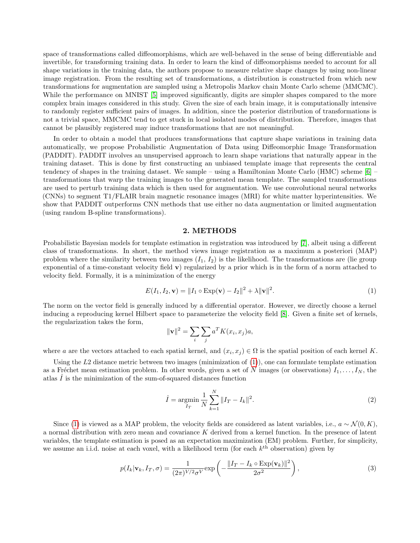space of transformations called diffeomorphisms, which are well-behaved in the sense of being differentiable and invertible, for transforming training data. In order to learn the kind of diffeomorphisms needed to account for all shape variations in the training data, the authors propose to measure relative shape changes by using non-linear image registration. From the resulting set of transformations, a distribution is constructed from which new transformations for augmentation are sampled using a Metropolis Markov chain Monte Carlo scheme (MMCMC). While the performance on MNIST [\[5\]](#page-5-4) improved significantly, digits are simpler shapes compared to the more complex brain images considered in this study. Given the size of each brain image, it is computationally intensive to randomly register sufficient pairs of images. In addition, since the posterior distribution of transformations is not a trivial space, MMCMC tend to get stuck in local isolated modes of distribution. Therefore, images that cannot be plausibly registered may induce transformations that are not meaningful.

In order to obtain a model that produces transformations that capture shape variations in training data automatically, we propose Probabilistic Augmentation of Data using Diffeomorphic Image Transformation (PADDIT). PADDIT involves an unsupervised approach to learn shape variations that naturally appear in the training dataset. This is done by first constructing an unbiased template image that represents the central tendency of shapes in the training dataset. We sample – using a Hamiltonian Monte Carlo (HMC) scheme [\[6\]](#page-5-5) – transformations that warp the training images to the generated mean template. The sampled transformations are used to perturb training data which is then used for augmentation. We use convolutional neural networks (CNNs) to segment T1/FLAIR brain magnetic resonance images (MRI) for white matter hyperintensities. We show that PADDIT outperforms CNN methods that use either no data augmentation or limited augmentation (using random B-spline transformations).

#### 2. METHODS

Probabilistic Bayesian models for template estimation in registration was introduced by [\[7\]](#page-5-6), albeit using a different class of transformations. In short, the method views image registration as a maximum a posteriori (MAP) problem where the similarity between two images  $(I_1, I_2)$  is the likelihood. The transformations are (lie group exponential of a time-constant velocity field v) regularized by a prior which is in the form of a norm attached to velocity field. Formally, it is a minimization of the energy

<span id="page-1-0"></span>
$$
E(I_1, I_2, \mathbf{v}) = ||I_1 \circ \text{Exp}(\mathbf{v}) - I_2||^2 + \lambda ||\mathbf{v}||^2.
$$
 (1)

The norm on the vector field is generally induced by a differential operator. However, we directly choose a kernel inducing a reproducing kernel Hilbert space to parameterize the velocity field [\[8\]](#page-5-7). Given a finite set of kernels, the regularization takes the form,

$$
\|\mathbf{v}\|^2 = \sum_i \sum_j a^T K(x_i, x_j) a,
$$

where a are the vectors attached to each spatial kernel, and  $(x_i, x_j) \in \Omega$  is the spatial position of each kernel K.

Using the  $L2$  distance metric between two images (minimization of  $(1)$ ), one can formulate template estimation as a Fréchet mean estimation problem. In other words, given a set of N images (or observations)  $I_1, \ldots, I_N$ , the atlas  $\hat{I}$  is the minimization of the sum-of-squared distances function

$$
\hat{I} = \underset{I_T}{\text{argmin}} \frac{1}{N} \sum_{k=1}^{N} ||I_T - I_k||^2.
$$
\n(2)

Since [\(1\)](#page-1-0) is viewed as a MAP problem, the velocity fields are considered as latent variables, i.e.,  $a \sim \mathcal{N}(0, K)$ , a normal distribution with zero mean and covariance K derived from a kernel function. In the presence of latent variables, the template estimation is posed as an expectation maximization (EM) problem. Further, for simplicity, we assume an i.i.d. noise at each voxel, with a likelihood term (for each  $k<sup>th</sup>$  observation) given by

$$
p(I_k|\mathbf{v}_k, I_T, \sigma) = \frac{1}{(2\pi)^{V/2} \sigma^V} \exp\left(-\frac{\|I_T - I_k \circ \text{Exp}(\mathbf{v}_k)\|^2}{2\sigma^2}\right),\tag{3}
$$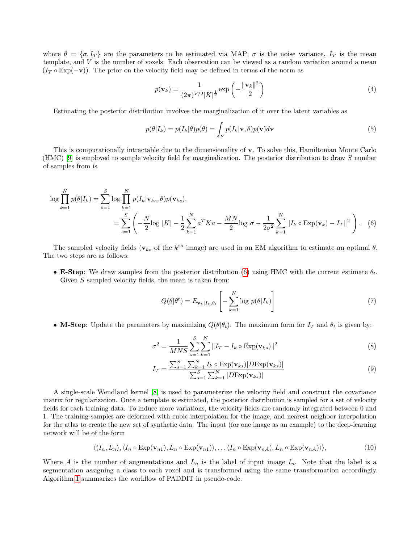where  $\theta = \{\sigma, I_T\}$  are the parameters to be estimated via MAP;  $\sigma$  is the noise variance,  $I_T$  is the mean template, and  $V$  is the number of voxels. Each observation can be viewed as a random variation around a mean  $(I_T \circ \text{Exp}(-\mathbf{v}))$ . The prior on the velocity field may be defined in terms of the norm as

$$
p(\mathbf{v}_k) = \frac{1}{(2\pi)^{V/2} |K|^{\frac{1}{2}}} \exp\left(-\frac{\|\mathbf{v}_k\|^2}{2}\right)
$$
(4)

Estimating the posterior distribution involves the marginalization of it over the latent variables as

$$
p(\theta|I_k) = p(I_k|\theta)p(\theta) = \int_{\mathbf{v}} p(I_k|\mathbf{v}, \theta)p(\mathbf{v})d\mathbf{v}
$$
\n(5)

This is computationally intractable due to the dimensionality of v. To solve this, Hamiltonian Monte Carlo (HMC) [\[9\]](#page-5-8) is employed to sample velocity field for marginalization. The posterior distribution to draw S number of samples from is

$$
\log \prod_{k=1}^{N} p(\theta | I_k) = \sum_{s=1}^{S} \log \prod_{k=1}^{N} p(I_k | \mathbf{v}_{ks}, \theta) p(\mathbf{v}_{ks}),
$$
  
= 
$$
\sum_{s=1}^{S} \left( -\frac{N}{2} \log |K| - \frac{1}{2} \sum_{k=1}^{N} a^T K a - \frac{M N}{2} \log \sigma - \frac{1}{2 \sigma^2} \sum_{k=1}^{N} ||I_k \circ \text{Exp}(\mathbf{v}_k) - I_T||^2 \right).
$$
 (6)

The sampled velocity fields ( $\mathbf{v}_{ks}$  of the  $k^{\text{th}}$  image) are used in an EM algorithm to estimate an optimal  $\theta$ . The two steps are as follows:

• **E-Step**: We draw samples from the posterior distribution [\(6\)](#page-2-0) using HMC with the current estimate  $\theta_t$ . Given S sampled velocity fields, the mean is taken from:

<span id="page-2-2"></span><span id="page-2-1"></span><span id="page-2-0"></span>
$$
Q(\theta|\theta^t) = E_{\mathbf{v}_k|I_k, \theta_t} \left[ -\sum_{k=1}^N \log p(\theta|I_k) \right]
$$
 (7)

• M-Step: Update the parameters by maximizing  $Q(\theta|\theta_t)$ . The maximum form for  $I_T$  and  $\theta_t$  is given by:

$$
\sigma^2 = \frac{1}{MNS} \sum_{s=1}^{S} \sum_{k=1}^{N} ||I_T - I_k \circ \text{Exp}(\mathbf{v}_{ks})||^2
$$
 (8)

$$
I_T = \frac{\sum_{s=1}^{S} \sum_{k=1}^{N} I_k \circ \text{Exp}(\mathbf{v}_{ks}) |D\text{Exp}(\mathbf{v}_{ks})|}{\sum_{s=1}^{S} \sum_{k=1}^{N} |D\text{Exp}(\mathbf{v}_{ks})|}
$$
(9)

A single-scale Wendland kernel [\[8\]](#page-5-7) is used to parameterize the velocity field and construct the covariance matrix for regularization. Once a template is estimated, the posterior distribution is sampled for a set of velocity fields for each training data. To induce more variations, the velocity fields are randomly integrated between 0 and 1. The training samples are deformed with cubic interpolation for the image, and nearest neighbor interpolation for the atlas to create the new set of synthetic data. The input (for one image as an example) to the deep-learning network will be of the form

<span id="page-2-3"></span>
$$
\langle\langle I_n, L_n\rangle, \langle I_n \circ \operatorname{Exp}(\mathbf{v}_{n1}), L_n \circ \operatorname{Exp}(\mathbf{v}_{n1})\rangle, \dots \langle I_n \circ \operatorname{Exp}(\mathbf{v}_{nA}), L_n \circ \operatorname{Exp}(\mathbf{v}_{nA})\rangle\rangle, \tag{10}
$$

Where A is the number of augmentations and  $L_n$  is the label of input image  $I_n$ . Note that the label is a segmentation assigning a class to each voxel and is transformed using the same transformation accordingly. Algorithm [1](#page-3-0) summarizes the workflow of PADDIT in pseudo-code.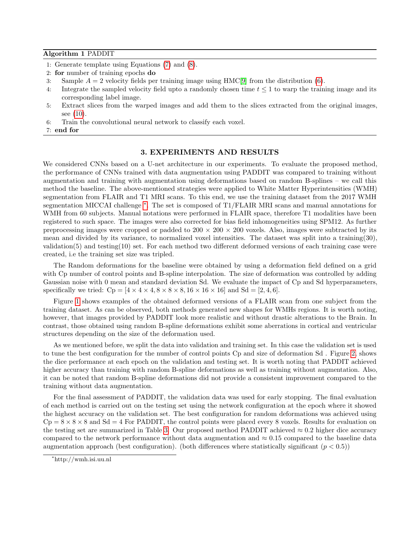#### Algorithm 1 PADDIT

- 1: Generate template using Equations [\(7\)](#page-2-1) and [\(8\)](#page-2-2).
- 2: for number of training epochs do
- 3: Sample  $A = 2$  velocity fields per training image using HMC[\[9\]](#page-5-8) from the distribution [\(6\)](#page-2-0).
- 4: Integrate the sampled velocity field upto a randomly chosen time  $t \leq 1$  to warp the training image and its corresponding label image.
- 5: Extract slices from the warped images and add them to the slices extracted from the original images, see [\(10\)](#page-2-3).

6: Train the convolutional neural network to classify each voxel.

<span id="page-3-0"></span>7: end for

## 3. EXPERIMENTS AND RESULTS

We considered CNNs based on a U-net architecture in our experiments. To evaluate the proposed method, the performance of CNNs trained with data augmentation using PADDIT was compared to training without augmentation and training with augmentation using deformations based on random B-splines – we call this method the baseline. The above-mentioned strategies were applied to White Matter Hyperintensities (WMH) segmentation from FLAIR and T1 MRI scans. To this end, we use the training dataset from the 2017 WMH segmentation MICCAI challenge <sup>[∗](#page-3-1)</sup>. The set is composed of T1/FLAIR MRI scans and manual annotations for WMH from 60 subjects. Manual notations were performed in FLAIR space, therefore T1 modalities have been registered to such space. The images were also corrected for bias field inhomogeneities using SPM12. As further preprocessing images were cropped or padded to  $200 \times 200 \times 200$  voxels. Also, images were subtracted by its mean and divided by its variance, to normalized voxel intensities. The dataset was split into a training(30), validation(5) and testing(10) set. For each method two different deformed versions of each training case were created, i.e the training set size was tripled.

The Random deformations for the baseline were obtained by using a deformation field defined on a grid with Cp number of control points and B-spline interpolation. The size of deformation was controlled by adding Gaussian noise with 0 mean and standard deviation Sd. We evaluate the impact of Cp and Sd hyperparameters, specifically we tried:  $C_p = [4 \times 4 \times 4, 8 \times 8 \times 8, 16 \times 16 \times 16]$  and  $Sd = [2, 4, 6]$ .

Figure [1](#page-4-0) shows examples of the obtained deformed versions of a FLAIR scan from one subject from the training dataset. As can be observed, both methods generated new shapes for WMHs regions. It is worth noting, however, that images provided by PADDIT look more realistic and without drastic alterations to the Brain. In contrast, those obtained using random B-spline deformations exhibit some aberrations in cortical and ventricular structures depending on the size of the deformation used.

As we mentioned before, we split the data into validation and training set. In this case the validation set is used to tune the best configuration for the number of control points Cp and size of deformation Sd . Figure [2,](#page-4-1) shows the dice performance at each epoch on the validation and testing set. It is worth noting that PADDIT achieved higher accuracy than training with random B-spline deformations as well as training without augmentation. Also, it can be noted that random B-spline deformations did not provide a consistent improvement compared to the training without data augmentation.

For the final assessment of PADDIT, the validation data was used for early stopping. The final evaluation of each method is carried out on the testing set using the network configuration at the epoch where it showed the highest accuracy on the validation set. The best configuration for random deformations was achieved using  $Cp = 8 \times 8 \times 8$  and  $Sd = 4$  For PADDIT, the control points were placed every 8 voxels. Results for evaluation on the testing set are summarized in Table [3.](#page-5-9) Our proposed method PADDIT achieved  $\approx 0.2$  higher dice accuracy compared to the network performance without data augmentation and  $\approx 0.15$  compared to the baseline data augmentation approach (best configuration). (both differences where statistically significant  $(p < 0.5)$ )

<span id="page-3-1"></span><sup>∗</sup>http://wmh.isi.uu.nl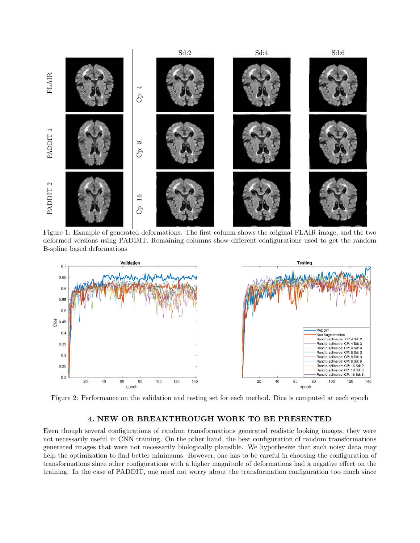<span id="page-4-0"></span>

Figure 1: Example of generated deformations. The first column shows the original FLAIR image, and the two deformed versions using PADDIT. Remaining columns show different configurations used to get the random B-spline based deformations

<span id="page-4-1"></span>

Figure 2: Performance on the validation and testing set for each method. Dice is computed at each epoch

## 4. NEW OR BREAKTHROUGH WORK TO BE PRESENTED

Even though several configurations of random transformations generated realistic looking images, they were not necessarily useful in CNN training. On the other hand, the best configuration of random transformations generated images that were not necessarily biologically plausible. We hypothesize that such noisy data may help the optimization to find better minimums. However, one has to be careful in choosing the configuration of transformations since other configurations with a higher magnitude of deformations had a negative effect on the training. In the case of PADDIT, one need not worry about the transformation configuration too much since